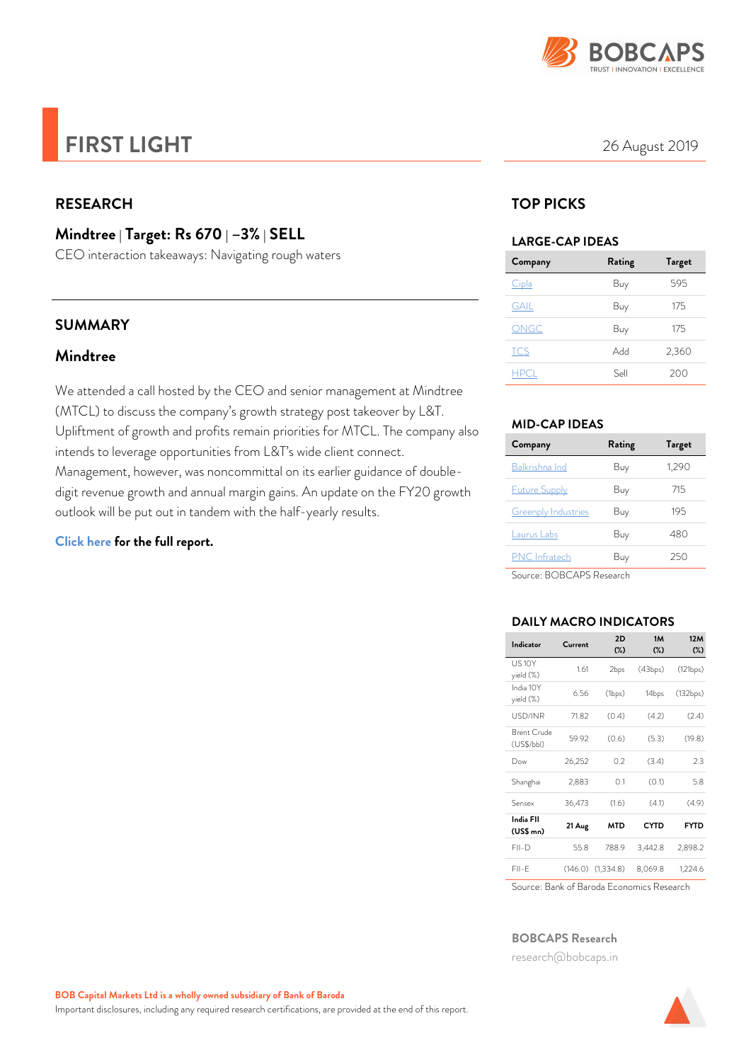

# *FIRST LIGHT* 26 August 2019

# *RESEARCH*

# *Mindtree | Target: Rs 670 | –3% | SELL*

CEO interaction takeaways: Navigating rough waters

### *SUMMARY*

### *Mindtree*

We attended a call hosted by the CEO and senior management at Mindtree (MTCL) to discuss the company's growth strategy post takeover by L&T. Upliftment of growth and profits remain priorities for MTCL. The company also intends to leverage opportunities from L&T's wide client connect. Management, however, was noncommittal on its earlier guidance of doubledigit revenue growth and annual margin gains. An update on the FY20 growth outlook will be put out in tandem with the half-yearly results.

### *[Click here for the full report.](https://www.barodaetrade.com/reports/Mindtree-FlashNote23Aug19-Research.pdf)*

# *TOP PICKS*

#### *LARGE-CAP IDEAS*

| Company     | Rating | <b>Target</b> |
|-------------|--------|---------------|
| Cipla       | Buy    | 595           |
| <b>GAIL</b> | Buy    | 175           |
| ONGC        | Buy    | 175           |
| <b>TCS</b>  | Add    | 2,360         |
| <b>HPCL</b> | Sell   | 200           |

### *MID-CAP IDEAS*

| Company                    | Rating | Target |
|----------------------------|--------|--------|
| Balkrishna Ind             | Buy    | 1,290  |
| <b>Future Supply</b>       | Buy    | 715    |
| <b>Greenply Industries</b> | Buy    | 195    |
| Laurus Labs                | Buy    | 480    |
| <b>PNC</b> Infratech       | Buy    | 250    |
|                            |        |        |

Source: BOBCAPS Research

### *DAILY MACRO INDICATORS*

| Indicator                  | Current | 2D<br>$(\%)$       | 1M<br>$(\%)$ | <b>12M</b><br>$(\%)$ |
|----------------------------|---------|--------------------|--------------|----------------------|
| <b>US10Y</b><br>yield (%)  | 1.61    | 2bps               | (43bps)      | (121bps)             |
| India 10Y<br>yield (%)     | 6.56    | $(1_{\text{bps}})$ | 14bps        | (132bps)             |
| USD/INR                    | 71.82   | (0.4)              | (4.2)        | (2.4)                |
| Brent Crude<br>(US\$/bb)   | 59.92   | (0.6)              | (5.3)        | (19.8)               |
| Dow                        | 26,252  | 02                 | (3.4)        | 2.3                  |
| Shanghai                   | 2,883   | 0.1                | (0.1)        | 58                   |
| Sensex                     | 36,473  | (1.6)              | (4.1)        | (4.9)                |
| India FII<br>$(US$$ mn $)$ | 21 Aug  | MTD                | CYTD         | <b>FYTD</b>          |
| FII-D                      | 55.8    | 788.9              | 3,442.8      | 2,898.2              |
| FII-F                      | (146.0) | (1,334.8)          | 8,069.8      | 1,224.6              |

Source: Bank of Baroda Economics Research

#### *BOBCAPS Research*

[research@bobcaps.in](mailto:research@bobcaps.in)

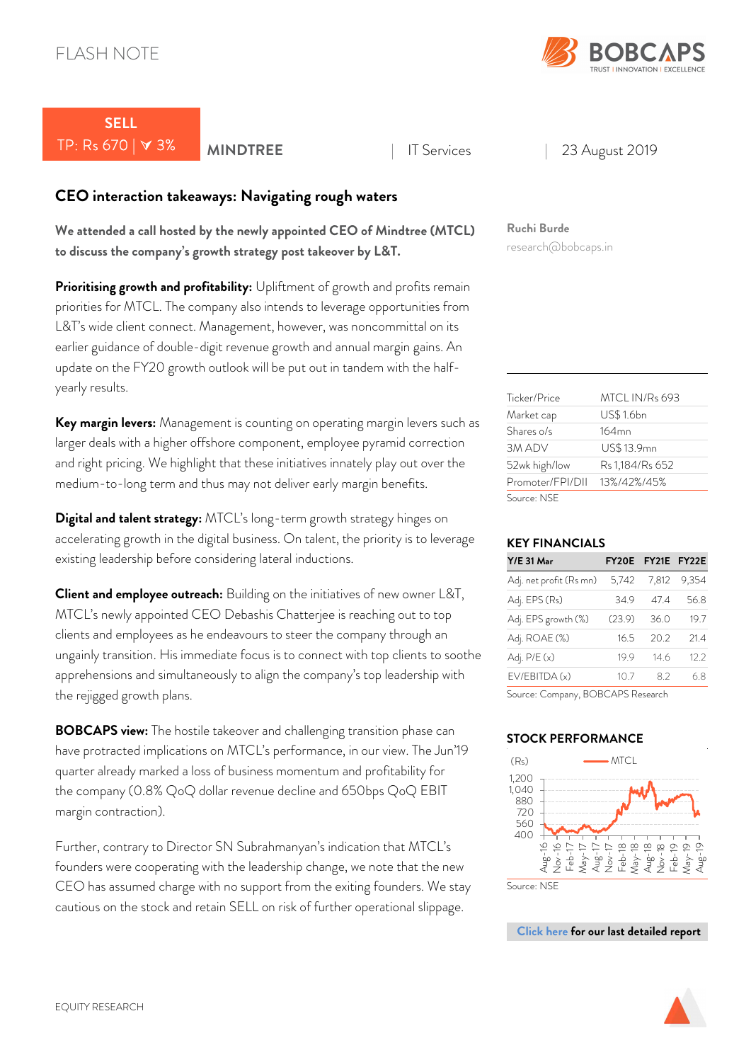

# *SELL*  TP: Rs 670 | 3% *MINDTREE* <sup>|</sup> IT Services | 23 August 2019

# *CEO interaction takeaways: Navigating rough waters*

*We attended a call hosted by the newly appointed CEO of Mindtree (MTCL) to discuss the company's growth strategy post takeover by L&T.*

**Prioritising growth and profitability:** Upliftment of growth and profits remain priorities for MTCL. The company also intends to leverage opportunities from L&T's wide client connect. Management, however, was noncommittal on its earlier guidance of double-digit revenue growth and annual margin gains. An update on the FY20 growth outlook will be put out in tandem with the halfyearly results.

*Key margin levers:* Management is counting on operating margin levers such as larger deals with a higher offshore component, employee pyramid correction and right pricing. We highlight that these initiatives innately play out over the medium-to-long term and thus may not deliver early margin benefits.

*Digital and talent strategy:* MTCL's long-term growth strategy hinges on accelerating growth in the digital business. On talent, the priority is to leverage existing leadership before considering lateral inductions.

*Client and employee outreach:* Building on the initiatives of new owner L&T, MTCL's newly appointed CEO Debashis Chatterjee is reaching out to top clients and employees as he endeavours to steer the company through an ungainly transition. His immediate focus is to connect with top clients to soothe apprehensions and simultaneously to align the company's top leadership with the rejigged growth plans.

*BOBCAPS view:* The hostile takeover and challenging transition phase can have protracted implications on MTCL's performance, in our view. The Jun'19 quarter already marked a loss of business momentum and profitability for the company (0.8% QoQ dollar revenue decline and 650bps QoQ EBIT margin contraction).

Further, contrary to Director SN Subrahmanyan's indication that MTCL's founders were cooperating with the leadership change, we note that the new CEO has assumed charge with no support from the exiting founders. We stay cautious on the stock and retain SELL on risk of further operational slippage.

# *Ruchi Burde*

research@bobcaps.in

| Ticker/Price     | MTCL IN/R <sub>s</sub> 693 |
|------------------|----------------------------|
| Market cap       | <b>US\$1.6bn</b>           |
| Shares o/s       | 164mn                      |
| 3M ADV           | US\$13.9mn                 |
| 52wk high/low    | Rs 1,184/Rs 652            |
| Promoter/FPI/DII | 13%/42%/45%                |
| Source: NSE      |                            |

### *KEY FINANCIALS*

| <b>Y/E 31 Mar</b>                 |        | FY20E FY21E FY22E |       |
|-----------------------------------|--------|-------------------|-------|
| Adj. net profit (Rs mn)           | 5,742  | 7,812             | 9,354 |
| Adj. EPS (Rs)                     | 34.9   | 474               | 56.8  |
| Adj. EPS growth (%)               | (23.9) | 36.0              | 19.7  |
| Adj. ROAE (%)                     | 16.5   | 20.2              | 21.4  |
| Adj. P/E (x)                      | 19.9   | 146               | 12.2  |
| EV/EBITDA(x)                      | 10.7   | 82                | 6.8   |
| Source: Company, BOBCAPS Research |        |                   |       |

#### *STOCK PERFORMANCE*



Source: NSE

*[Click here for our last detailed report](https://www.barodaetrade.com/reports/Mindtree-Q1FY20ResultReview18Jul19-Research.pdf)* 

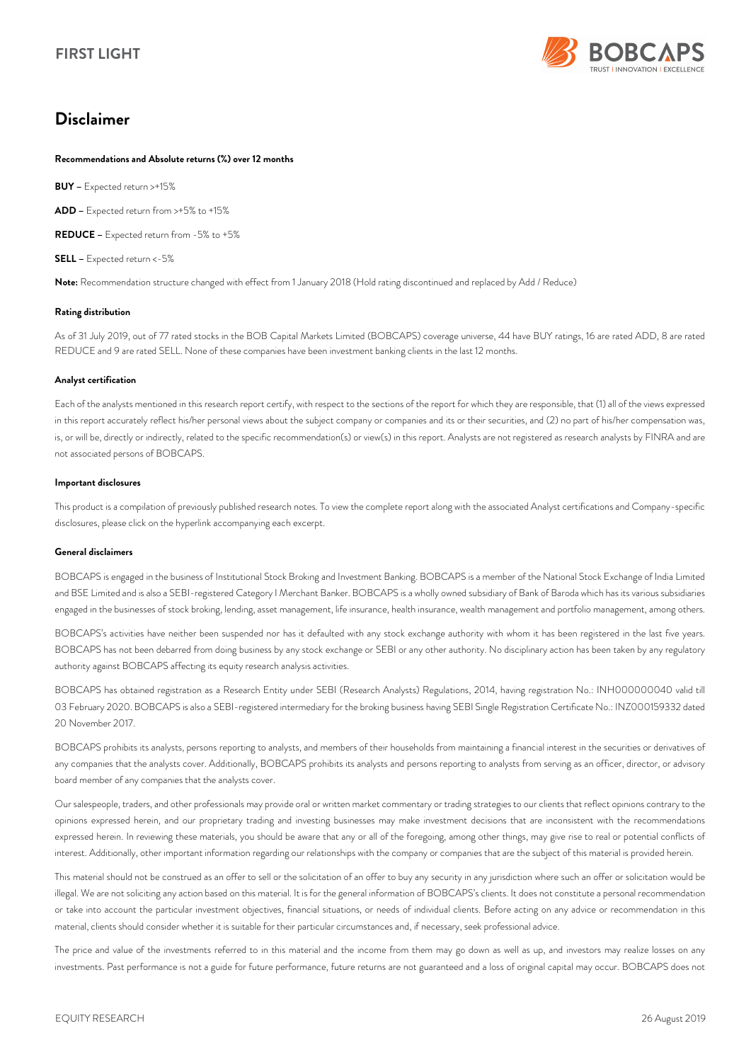

# *Disclaimer*

#### *Recommendations and Absolute returns (%) over 12 months*

*BUY –* Expected return >+15%

*ADD –* Expected return from >+5% to +15%

*REDUCE –* Expected return from -5% to +5%

*SELL –* Expected return <-5%

*Note:* Recommendation structure changed with effect from 1 January 2018 (Hold rating discontinued and replaced by Add / Reduce)

#### *Rating distribution*

As of 31 July 2019, out of 77 rated stocks in the BOB Capital Markets Limited (BOBCAPS) coverage universe, 44 have BUY ratings, 16 are rated ADD, 8 are rated REDUCE and 9 are rated SELL. None of these companies have been investment banking clients in the last 12 months.

#### *Analyst certification*

Each of the analysts mentioned in this research report certify, with respect to the sections of the report for which they are responsible, that (1) all of the views expressed in this report accurately reflect his/her personal views about the subject company or companies and its or their securities, and (2) no part of his/her compensation was, is, or will be, directly or indirectly, related to the specific recommendation(s) or view(s) in this report. Analysts are not registered as research analysts by FINRA and are not associated persons of BOBCAPS.

#### *Important disclosures*

This product is a compilation of previously published research notes. To view the complete report along with the associated Analyst certifications and Company-specific disclosures, please click on the hyperlink accompanying each excerpt.

#### *General disclaimers*

BOBCAPS is engaged in the business of Institutional Stock Broking and Investment Banking. BOBCAPS is a member of the National Stock Exchange of India Limited and BSE Limited and is also a SEBI-registered Category I Merchant Banker. BOBCAPS is a wholly owned subsidiary of Bank of Baroda which has its various subsidiaries engaged in the businesses of stock broking, lending, asset management, life insurance, health insurance, wealth management and portfolio management, among others.

BOBCAPS's activities have neither been suspended nor has it defaulted with any stock exchange authority with whom it has been registered in the last five years. BOBCAPS has not been debarred from doing business by any stock exchange or SEBI or any other authority. No disciplinary action has been taken by any regulatory authority against BOBCAPS affecting its equity research analysis activities.

BOBCAPS has obtained registration as a Research Entity under SEBI (Research Analysts) Regulations, 2014, having registration No.: INH000000040 valid till 03 February 2020. BOBCAPS is also a SEBI-registered intermediary for the broking business having SEBI Single Registration Certificate No.: INZ000159332 dated 20 November 2017.

BOBCAPS prohibits its analysts, persons reporting to analysts, and members of their households from maintaining a financial interest in the securities or derivatives of any companies that the analysts cover. Additionally, BOBCAPS prohibits its analysts and persons reporting to analysts from serving as an officer, director, or advisory board member of any companies that the analysts cover.

Our salespeople, traders, and other professionals may provide oral or written market commentary or trading strategies to our clients that reflect opinions contrary to the opinions expressed herein, and our proprietary trading and investing businesses may make investment decisions that are inconsistent with the recommendations expressed herein. In reviewing these materials, you should be aware that any or all of the foregoing, among other things, may give rise to real or potential conflicts of interest. Additionally, other important information regarding our relationships with the company or companies that are the subject of this material is provided herein.

This material should not be construed as an offer to sell or the solicitation of an offer to buy any security in any jurisdiction where such an offer or solicitation would be illegal. We are not soliciting any action based on this material. It is for the general information of BOBCAPS's clients. It does not constitute a personal recommendation or take into account the particular investment objectives, financial situations, or needs of individual clients. Before acting on any advice or recommendation in this material, clients should consider whether it is suitable for their particular circumstances and, if necessary, seek professional advice.

The price and value of the investments referred to in this material and the income from them may go down as well as up, and investors may realize losses on any investments. Past performance is not a guide for future performance, future returns are not guaranteed and a loss of original capital may occur. BOBCAPS does not